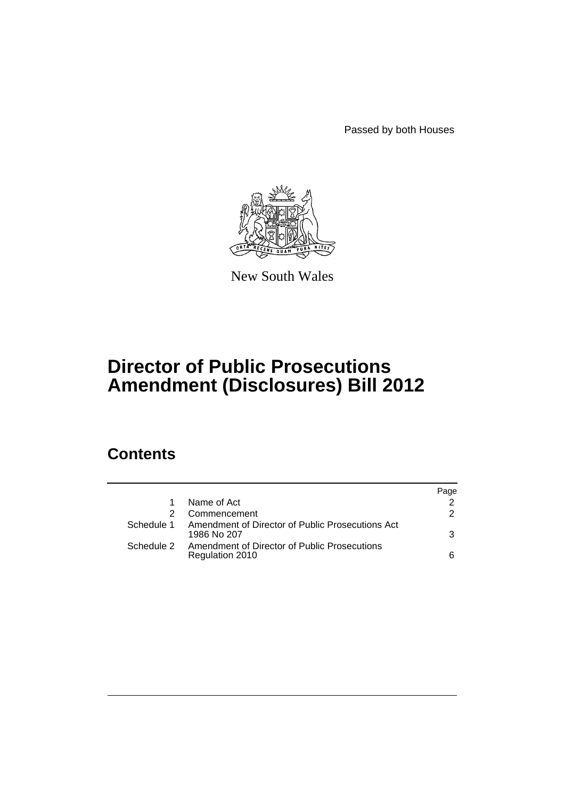Passed by both Houses



New South Wales

# **Director of Public Prosecutions Amendment (Disclosures) Bill 2012**

## **Contents**

|            |                                                                 | Page          |
|------------|-----------------------------------------------------------------|---------------|
|            | Name of Act                                                     |               |
|            | Commencement                                                    | $\mathcal{P}$ |
| Schedule 1 | Amendment of Director of Public Prosecutions Act<br>1986 No 207 | 3             |
| Schedule 2 | Amendment of Director of Public Prosecutions<br>Regulation 2010 | 6             |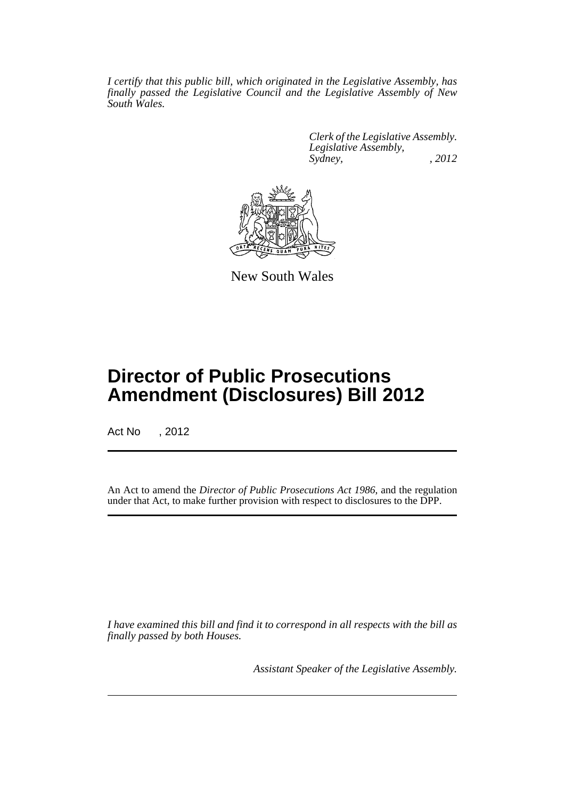*I certify that this public bill, which originated in the Legislative Assembly, has finally passed the Legislative Council and the Legislative Assembly of New South Wales.*

> *Clerk of the Legislative Assembly. Legislative Assembly, Sydney, , 2012*



New South Wales

## **Director of Public Prosecutions Amendment (Disclosures) Bill 2012**

Act No , 2012

An Act to amend the *Director of Public Prosecutions Act 1986*, and the regulation under that Act, to make further provision with respect to disclosures to the DPP.

*I have examined this bill and find it to correspond in all respects with the bill as finally passed by both Houses.*

*Assistant Speaker of the Legislative Assembly.*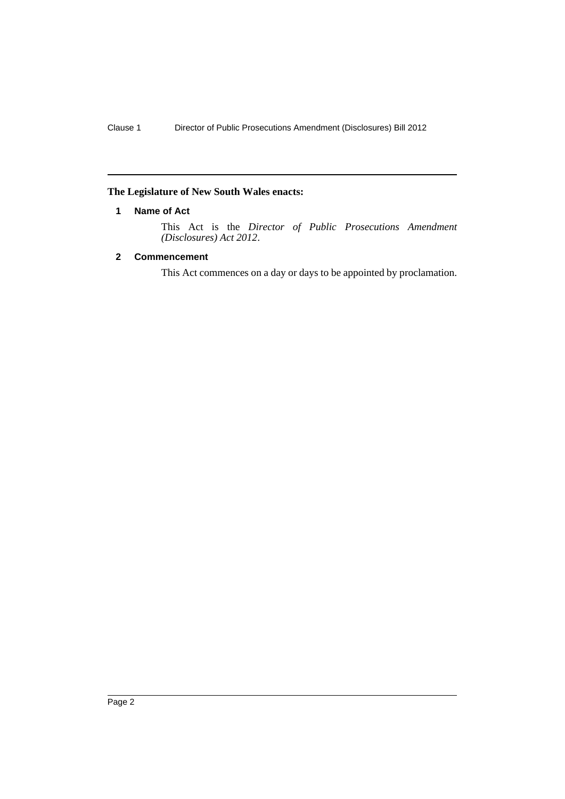#### <span id="page-3-0"></span>**The Legislature of New South Wales enacts:**

#### **1 Name of Act**

This Act is the *Director of Public Prosecutions Amendment (Disclosures) Act 2012*.

#### <span id="page-3-1"></span>**2 Commencement**

This Act commences on a day or days to be appointed by proclamation.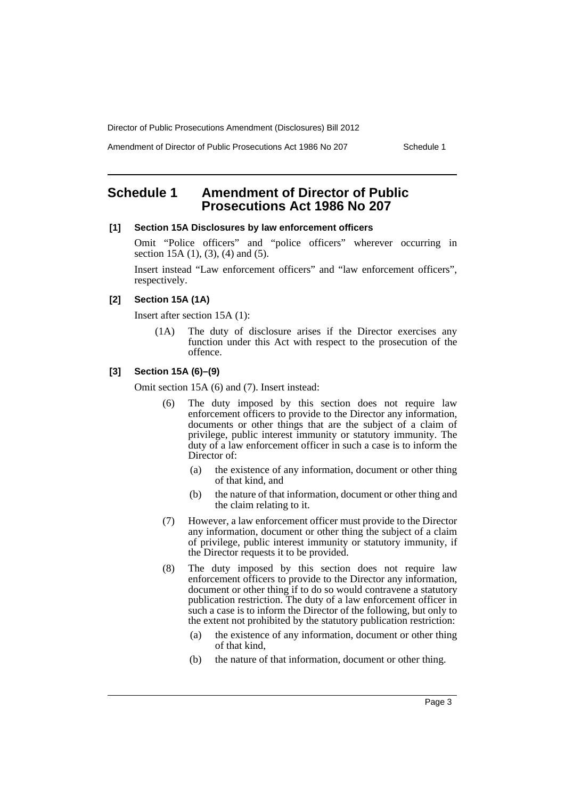Amendment of Director of Public Prosecutions Act 1986 No 207 Schedule 1

## <span id="page-4-0"></span>**Schedule 1 Amendment of Director of Public Prosecutions Act 1986 No 207**

#### **[1] Section 15A Disclosures by law enforcement officers**

Omit "Police officers" and "police officers" wherever occurring in section 15A (1), (3), (4) and (5).

Insert instead "Law enforcement officers" and "law enforcement officers", respectively.

#### **[2] Section 15A (1A)**

Insert after section 15A (1):

(1A) The duty of disclosure arises if the Director exercises any function under this Act with respect to the prosecution of the offence.

#### **[3] Section 15A (6)–(9)**

Omit section 15A (6) and (7). Insert instead:

- (6) The duty imposed by this section does not require law enforcement officers to provide to the Director any information, documents or other things that are the subject of a claim of privilege, public interest immunity or statutory immunity. The duty of a law enforcement officer in such a case is to inform the Director of:
	- (a) the existence of any information, document or other thing of that kind, and
	- (b) the nature of that information, document or other thing and the claim relating to it.
- (7) However, a law enforcement officer must provide to the Director any information, document or other thing the subject of a claim of privilege, public interest immunity or statutory immunity, if the Director requests it to be provided.
- (8) The duty imposed by this section does not require law enforcement officers to provide to the Director any information, document or other thing if to do so would contravene a statutory publication restriction. The duty of a law enforcement officer in such a case is to inform the Director of the following, but only to the extent not prohibited by the statutory publication restriction:
	- (a) the existence of any information, document or other thing of that kind,
	- (b) the nature of that information, document or other thing.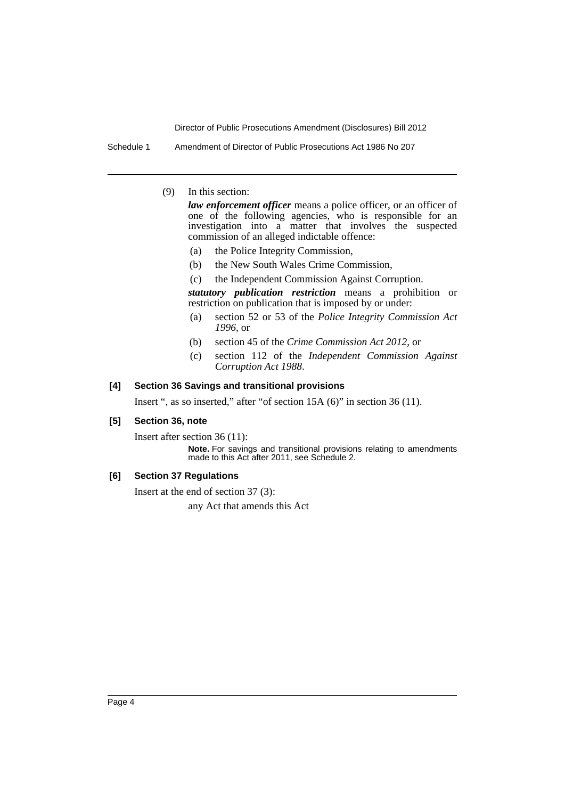Schedule 1 Amendment of Director of Public Prosecutions Act 1986 No 207

(9) In this section:

*law enforcement officer* means a police officer, or an officer of one of the following agencies, who is responsible for an investigation into a matter that involves the suspected commission of an alleged indictable offence:

- (a) the Police Integrity Commission,
- (b) the New South Wales Crime Commission,

(c) the Independent Commission Against Corruption.

*statutory publication restriction* means a prohibition or restriction on publication that is imposed by or under:

- (a) section 52 or 53 of the *Police Integrity Commission Act 1996*, or
- (b) section 45 of the *Crime Commission Act 2012*, or
- (c) section 112 of the *Independent Commission Against Corruption Act 1988*.

#### **[4] Section 36 Savings and transitional provisions**

Insert ", as so inserted," after "of section 15A (6)" in section 36 (11).

#### **[5] Section 36, note**

Insert after section 36 (11):

**Note.** For savings and transitional provisions relating to amendments made to this Act after 2011, see Schedule 2.

#### **[6] Section 37 Regulations**

Insert at the end of section 37 (3):

any Act that amends this Act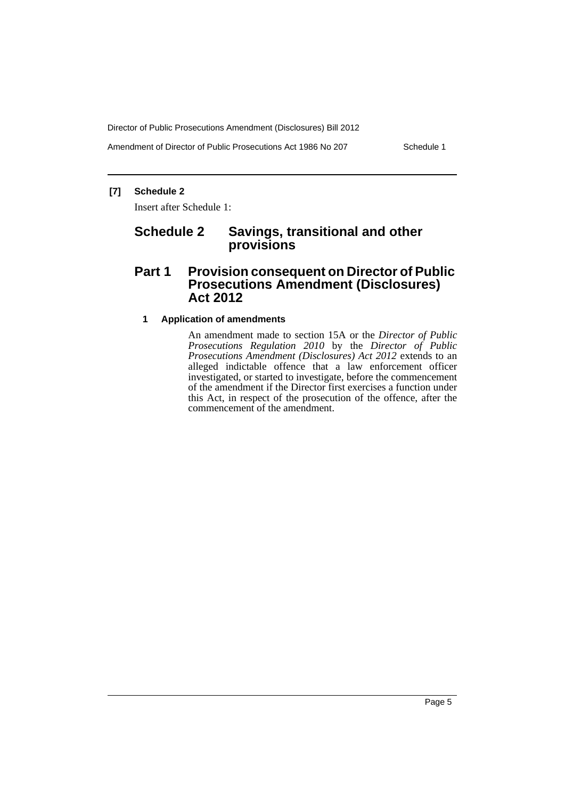Amendment of Director of Public Prosecutions Act 1986 No 207 Schedule 1

#### **[7] Schedule 2**

Insert after Schedule 1:

## **Schedule 2 Savings, transitional and other provisions**

## **Part 1 Provision consequent on Director of Public Prosecutions Amendment (Disclosures) Act 2012**

#### **1 Application of amendments**

An amendment made to section 15A or the *Director of Public Prosecutions Regulation 2010* by the *Director of Public Prosecutions Amendment (Disclosures) Act 2012* extends to an alleged indictable offence that a law enforcement officer investigated, or started to investigate, before the commencement of the amendment if the Director first exercises a function under this Act, in respect of the prosecution of the offence, after the commencement of the amendment.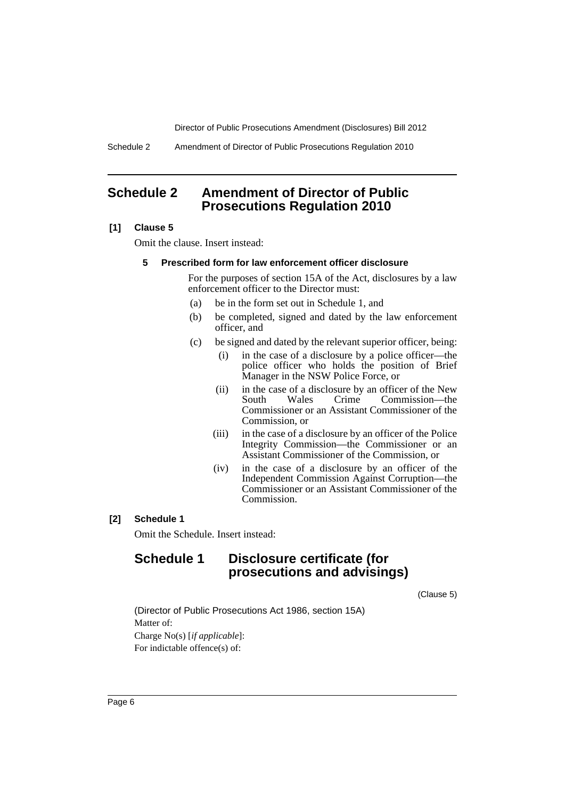Schedule 2 Amendment of Director of Public Prosecutions Regulation 2010

### <span id="page-7-0"></span>**Schedule 2 Amendment of Director of Public Prosecutions Regulation 2010**

#### **[1] Clause 5**

Omit the clause. Insert instead:

#### **5 Prescribed form for law enforcement officer disclosure**

For the purposes of section 15A of the Act, disclosures by a law enforcement officer to the Director must:

- (a) be in the form set out in Schedule 1, and
- (b) be completed, signed and dated by the law enforcement officer, and
- (c) be signed and dated by the relevant superior officer, being:
	- (i) in the case of a disclosure by a police officer—the police officer who holds the position of Brief Manager in the NSW Police Force, or
	- (ii) in the case of a disclosure by an officer of the New South Wales Crime Commission—the Commissioner or an Assistant Commissioner of the Commission, or
	- (iii) in the case of a disclosure by an officer of the Police Integrity Commission—the Commissioner or an Assistant Commissioner of the Commission, or
	- (iv) in the case of a disclosure by an officer of the Independent Commission Against Corruption—the Commissioner or an Assistant Commissioner of the Commission.

#### **[2] Schedule 1**

Omit the Schedule. Insert instead:

## **Schedule 1 Disclosure certificate (for prosecutions and advisings)**

(Clause 5)

(Director of Public Prosecutions Act 1986, section 15A) Matter of: Charge No(s) [*if applicable*]: For indictable offence(s) of: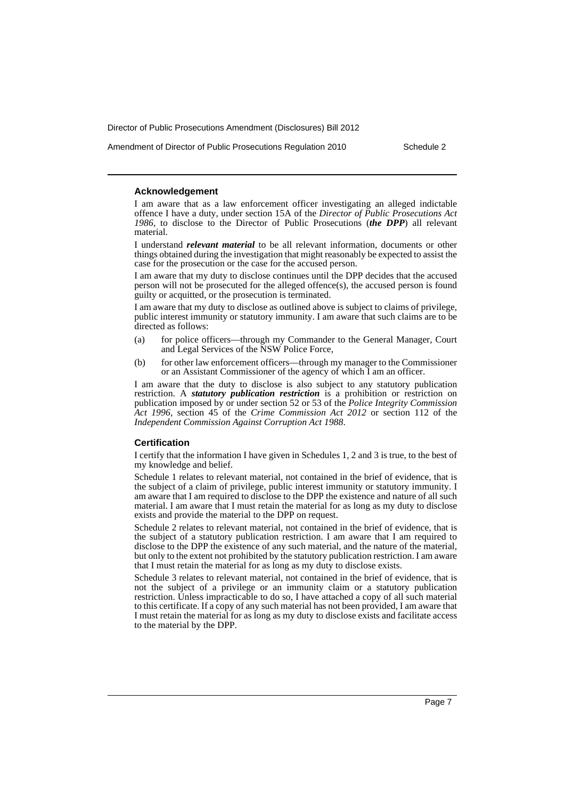Amendment of Director of Public Prosecutions Regulation 2010 Schedule 2

#### **Acknowledgement**

I am aware that as a law enforcement officer investigating an alleged indictable offence I have a duty, under section 15A of the *Director of Public Prosecutions Act 1986*, to disclose to the Director of Public Prosecutions (*the DPP*) all relevant material.

I understand *relevant material* to be all relevant information, documents or other things obtained during the investigation that might reasonably be expected to assist the case for the prosecution or the case for the accused person.

I am aware that my duty to disclose continues until the DPP decides that the accused person will not be prosecuted for the alleged offence(s), the accused person is found guilty or acquitted, or the prosecution is terminated.

I am aware that my duty to disclose as outlined above is subject to claims of privilege, public interest immunity or statutory immunity. I am aware that such claims are to be directed as follows:

- (a) for police officers—through my Commander to the General Manager, Court and Legal Services of the NSW Police Force,
- (b) for other law enforcement officers—through my manager to the Commissioner or an Assistant Commissioner of the agency of which I am an officer.

I am aware that the duty to disclose is also subject to any statutory publication restriction. A *statutory publication restriction* is a prohibition or restriction on publication imposed by or under section 52 or 53 of the *Police Integrity Commission Act 1996*, section 45 of the *Crime Commission Act 2012* or section 112 of the *Independent Commission Against Corruption Act 1988*.

#### **Certification**

I certify that the information I have given in Schedules 1, 2 and 3 is true, to the best of my knowledge and belief.

Schedule 1 relates to relevant material, not contained in the brief of evidence, that is the subject of a claim of privilege, public interest immunity or statutory immunity. I am aware that I am required to disclose to the DPP the existence and nature of all such material. I am aware that I must retain the material for as long as my duty to disclose exists and provide the material to the DPP on request.

Schedule 2 relates to relevant material, not contained in the brief of evidence, that is the subject of a statutory publication restriction. I am aware that I am required to disclose to the DPP the existence of any such material, and the nature of the material, but only to the extent not prohibited by the statutory publication restriction. I am aware that I must retain the material for as long as my duty to disclose exists.

Schedule 3 relates to relevant material, not contained in the brief of evidence, that is not the subject of a privilege or an immunity claim or a statutory publication restriction. Unless impracticable to do so, I have attached a copy of all such material to this certificate. If a copy of any such material has not been provided, I am aware that I must retain the material for as long as my duty to disclose exists and facilitate access to the material by the DPP.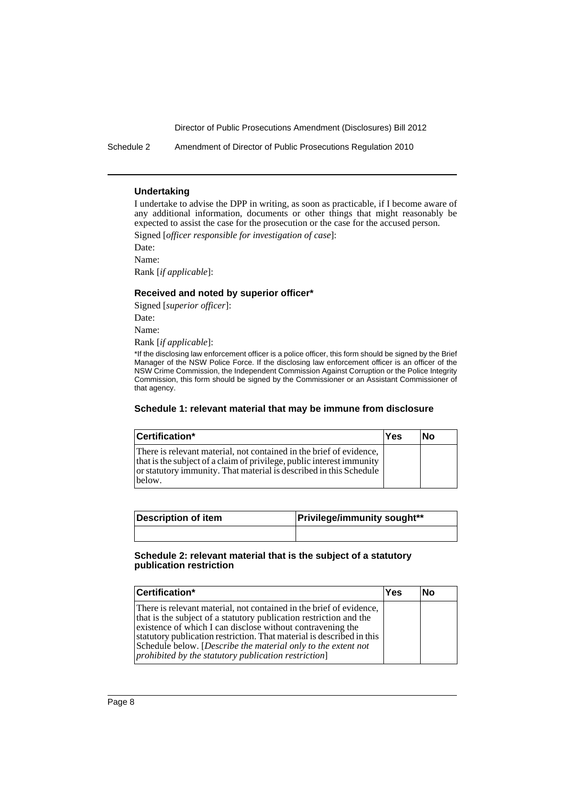Schedule 2 Amendment of Director of Public Prosecutions Regulation 2010

#### **Undertaking**

I undertake to advise the DPP in writing, as soon as practicable, if I become aware of any additional information, documents or other things that might reasonably be expected to assist the case for the prosecution or the case for the accused person. Signed [*officer responsible for investigation of case*]:

Date:

Name:

Rank [*if applicable*]:

#### **Received and noted by superior officer\***

Signed [*superior officer*]: Date:

Name:

Rank [*if applicable*]:

\*If the disclosing law enforcement officer is a police officer, this form should be signed by the Brief Manager of the NSW Police Force. If the disclosing law enforcement officer is an officer of the NSW Crime Commission, the Independent Commission Against Corruption or the Police Integrity Commission, this form should be signed by the Commissioner or an Assistant Commissioner of that agency.

#### **Schedule 1: relevant material that may be immune from disclosure**

| Certification*                                                                                                                                                                                                               | Yes | lΝo |
|------------------------------------------------------------------------------------------------------------------------------------------------------------------------------------------------------------------------------|-----|-----|
| There is relevant material, not contained in the brief of evidence,<br>that is the subject of a claim of privilege, public interest immunity<br>or statutory immunity. That material is described in this Schedule<br>below. |     |     |

| Description of item | <b>Privilege/immunity sought**</b> |  |
|---------------------|------------------------------------|--|
|                     |                                    |  |

#### **Schedule 2: relevant material that is the subject of a statutory publication restriction**

| Certification*                                                                                                                                                                                                                                                                                                                                                                                            |  | No |
|-----------------------------------------------------------------------------------------------------------------------------------------------------------------------------------------------------------------------------------------------------------------------------------------------------------------------------------------------------------------------------------------------------------|--|----|
| There is relevant material, not contained in the brief of evidence,<br>that is the subject of a statutory publication restriction and the<br>existence of which I can disclose without contravening the<br>statutory publication restriction. That material is described in this<br>Schedule below. [Describe the material only to the extent not<br>prohibited by the statutory publication restriction] |  |    |